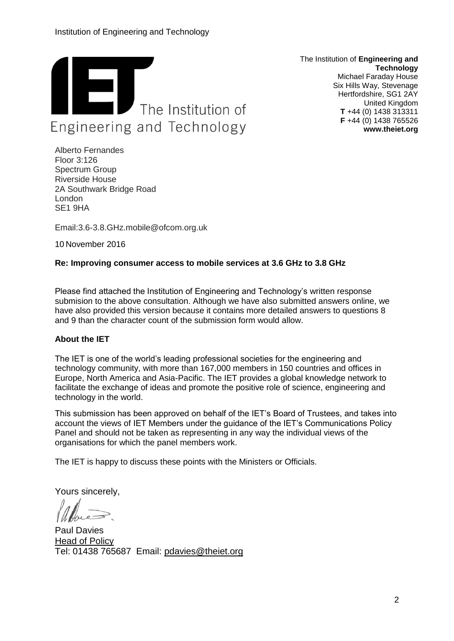

The Institution of **Engineering and Technology** Michael Faraday House Six Hills Way, Stevenage Hertfordshire, SG1 2AY United Kingdom **T** +44 (0) 1438 313311 **F** +44 (0) 1438 765526 **www.theiet.org**

Alberto Fernandes Floor 3:126 Spectrum Group Riverside House 2A Southwark Bridge Road London SE1 9HA

Email:3.6-3.8.GHz.mobile@ofcom.org.uk

10 November 2016

## **Re: Improving consumer access to mobile services at 3.6 GHz to 3.8 GHz**

Please find attached the Institution of Engineering and Technology's written response submision to the above consultation. Although we have also submitted answers online, we have also provided this version because it contains more detailed answers to questions 8 and 9 than the character count of the submission form would allow.

## **About the IET**

The IET is one of the world's leading professional societies for the engineering and technology community, with more than 167,000 members in 150 countries and offices in Europe, North America and Asia-Pacific. The IET provides a global knowledge network to facilitate the exchange of ideas and promote the positive role of science, engineering and technology in the world.

This submission has been approved on behalf of the IET's Board of Trustees, and takes into account the views of IET Members under the guidance of the IET's Communications Policy Panel and should not be taken as representing in any way the individual views of the organisations for which the panel members work.

The IET is happy to discuss these points with the Ministers or Officials.

Yours sincerely,

Paul Davies Head of Policy Tel: 01438 765687 Email: [pdavies@theiet.org](mailto:gpaterson@theiet.org)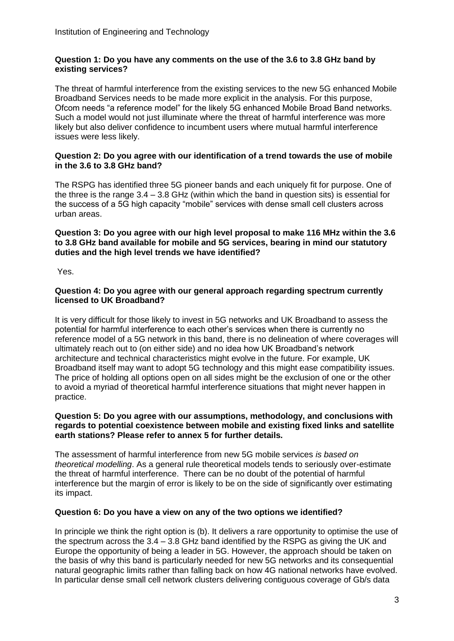## **Question 1: Do you have any comments on the use of the 3.6 to 3.8 GHz band by existing services?**

The threat of harmful interference from the existing services to the new 5G enhanced Mobile Broadband Services needs to be made more explicit in the analysis. For this purpose, Ofcom needs "a reference model" for the likely 5G enhanced Mobile Broad Band networks. Such a model would not just illuminate where the threat of harmful interference was more likely but also deliver confidence to incumbent users where mutual harmful interference issues were less likely.

## **Question 2: Do you agree with our identification of a trend towards the use of mobile in the 3.6 to 3.8 GHz band?**

The RSPG has identified three 5G pioneer bands and each uniquely fit for purpose. One of the three is the range 3.4 – 3.8 GHz (within which the band in question sits) is essential for the success of a 5G high capacity "mobile" services with dense small cell clusters across urban areas.

### **Question 3: Do you agree with our high level proposal to make 116 MHz within the 3.6 to 3.8 GHz band available for mobile and 5G services, bearing in mind our statutory duties and the high level trends we have identified?**

Yes.

#### **Question 4: Do you agree with our general approach regarding spectrum currently licensed to UK Broadband?**

It is very difficult for those likely to invest in 5G networks and UK Broadband to assess the potential for harmful interference to each other's services when there is currently no reference model of a 5G network in this band, there is no delineation of where coverages will ultimately reach out to (on either side) and no idea how UK Broadband's network architecture and technical characteristics might evolve in the future. For example, UK Broadband itself may want to adopt 5G technology and this might ease compatibility issues. The price of holding all options open on all sides might be the exclusion of one or the other to avoid a myriad of theoretical harmful interference situations that might never happen in practice.

#### **Question 5: Do you agree with our assumptions, methodology, and conclusions with regards to potential coexistence between mobile and existing fixed links and satellite earth stations? Please refer to annex 5 for further details.**

The assessment of harmful interference from new 5G mobile services *is based on theoretical modelling*. As a general rule theoretical models tends to seriously over-estimate the threat of harmful interference. There can be no doubt of the potential of harmful interference but the margin of error is likely to be on the side of significantly over estimating its impact.

# **Question 6: Do you have a view on any of the two options we identified?**

In principle we think the right option is (b). It delivers a rare opportunity to optimise the use of the spectrum across the 3.4 – 3.8 GHz band identified by the RSPG as giving the UK and Europe the opportunity of being a leader in 5G. However, the approach should be taken on the basis of why this band is particularly needed for new 5G networks and its consequential natural geographic limits rather than falling back on how 4G national networks have evolved. In particular dense small cell network clusters delivering contiguous coverage of Gb/s data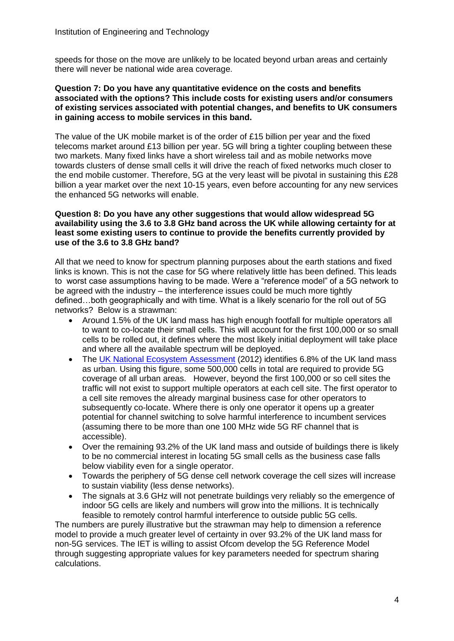speeds for those on the move are unlikely to be located beyond urban areas and certainly there will never be national wide area coverage.

#### **Question 7: Do you have any quantitative evidence on the costs and benefits associated with the options? This include costs for existing users and/or consumers of existing services associated with potential changes, and benefits to UK consumers in gaining access to mobile services in this band.**

The value of the UK mobile market is of the order of £15 billion per year and the fixed telecoms market around £13 billion per year. 5G will bring a tighter coupling between these two markets. Many fixed links have a short wireless tail and as mobile networks move towards clusters of dense small cells it will drive the reach of fixed networks much closer to the end mobile customer. Therefore, 5G at the very least will be pivotal in sustaining this £28 billion a year market over the next 10-15 years, even before accounting for any new services the enhanced 5G networks will enable.

#### **Question 8: Do you have any other suggestions that would allow widespread 5G availability using the 3.6 to 3.8 GHz band across the UK while allowing certainty for at least some existing users to continue to provide the benefits currently provided by use of the 3.6 to 3.8 GHz band?**

All that we need to know for spectrum planning purposes about the earth stations and fixed links is known. This is not the case for 5G where relatively little has been defined. This leads to worst case assumptions having to be made. Were a "reference model" of a 5G network to be agreed with the industry – the interference issues could be much more tightly defined…both geographically and with time. What is a likely scenario for the roll out of 5G networks? Below is a strawman:

- Around 1.5% of the UK land mass has high enough footfall for multiple operators all to want to co-locate their small cells. This will account for the first 100,000 or so small cells to be rolled out, it defines where the most likely initial deployment will take place and where all the available spectrum will be deployed.
- The [UK National Ecosystem Assessment](http://uknea.unep-wcmc.org/) (2012) identifies 6.8% of the UK land mass as urban. Using this figure, some 500,000 cells in total are required to provide 5G coverage of all urban areas. However, beyond the first 100,000 or so cell sites the traffic will not exist to support multiple operators at each cell site. The first operator to a cell site removes the already marginal business case for other operators to subsequently co-locate. Where there is only one operator it opens up a greater potential for channel switching to solve harmful interference to incumbent services (assuming there to be more than one 100 MHz wide 5G RF channel that is accessible).
- Over the remaining 93.2% of the UK land mass and outside of buildings there is likely to be no commercial interest in locating 5G small cells as the business case falls below viability even for a single operator.
- Towards the periphery of 5G dense cell network coverage the cell sizes will increase to sustain viability (less dense networks).
- The signals at 3.6 GHz will not penetrate buildings very reliably so the emergence of indoor 5G cells are likely and numbers will grow into the millions. It is technically feasible to remotely control harmful interference to outside public 5G cells.

The numbers are purely illustrative but the strawman may help to dimension a reference model to provide a much greater level of certainty in over 93.2% of the UK land mass for non-5G services. The IET is willing to assist Ofcom develop the 5G Reference Model through suggesting appropriate values for key parameters needed for spectrum sharing calculations.